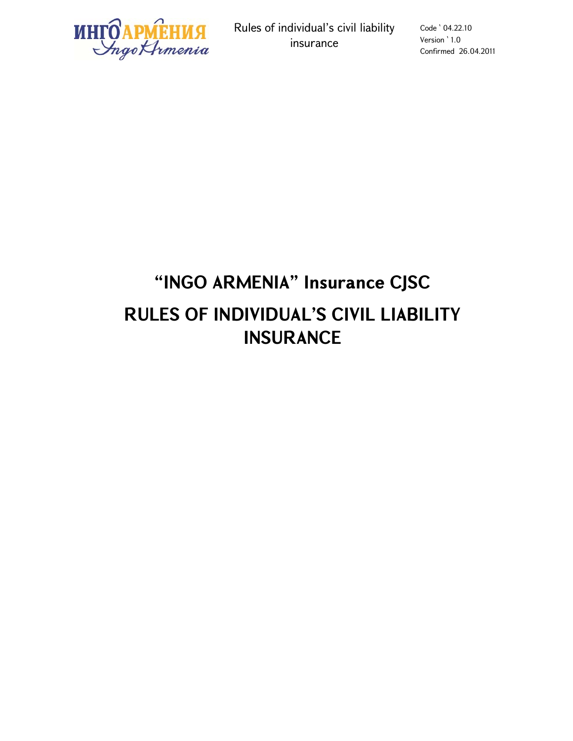

Rules of individual's civil liability insurance

Code ՝ 04.22.10 Version ՝ 1.0 Confirmed 26.04.2011

# **"INGO ARMENIA" Insurance CJSC RULES OF INDIVIDUAL'S CIVIL LIABILITY INSURANCE**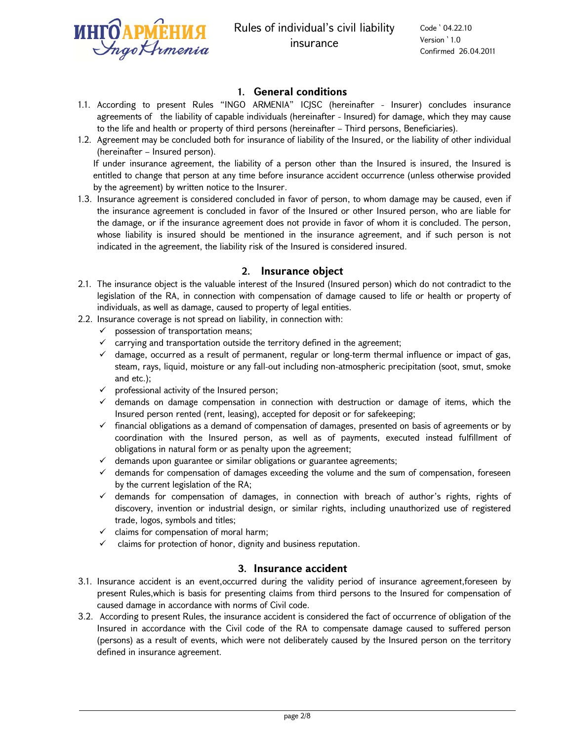

### **1. General conditions**

- 1.1. According to present Rules "INGO ARMENIA" ICJSC (hereinafter Insurer) concludes insurance agreements of the liability of capable individuals (hereinafter - Insured) for damage, which they may cause to the life and health or property of third persons (hereinafter – Third persons, Beneficiaries).
- 1.2. Agreement may be concluded both for insurance of liability of the Insured, or the liability of other individual (hereinafter – Insured person).

If under insurance agreement, the liability of a person other than the Insured is insured, the Insured is entitled to change that person at any time before insurance accident occurrence (unless otherwise provided by the agreement) by written notice to the Insurer.

1.3. Insurance agreement is considered concluded in favor of person, to whom damage may be caused, even if the insurance agreement is concluded in favor of the Insured or other Insured person, who are liable for the damage, or if the insurance agreement does not provide in favor of whom it is concluded. The person, whose liability is insured should be mentioned in the insurance agreement, and if such person is not indicated in the agreement, the liability risk of the Insured is considered insured.

#### **2. Insurance object**

- 2.1. The insurance object is the valuable interest of the Insured (Insured person) which do not contradict to the legislation of the RA, in connection with compensation of damage caused to life or health or property of individuals, as well as damage, caused to property of legal entities.
- 2.2. Insurance coverage is not spread on liability, in connection with:
	- $\checkmark$  possession of transportation means;
	- $\checkmark$  carrying and transportation outside the territory defined in the agreement;
	- $\checkmark$  damage, occurred as a result of permanent, regular or long-term thermal influence or impact of gas, steam, rays, liquid, moisture or any fall-out including non-atmospheric precipitation (soot, smut, smoke and etc.);
	- $\checkmark$  professional activity of the Insured person;
	- $\checkmark$  demands on damage compensation in connection with destruction or damage of items, which the Insured person rented (rent, leasing), accepted for deposit or for safekeeping;
	- $\checkmark$  financial obligations as a demand of compensation of damages, presented on basis of agreements or by coordination with the Insured person, as well as of payments, executed instead fulfillment of obligations in natural form or as penalty upon the agreement;
	- $\checkmark$  demands upon guarantee or similar obligations or guarantee agreements;
	- $\checkmark$  demands for compensation of damages exceeding the volume and the sum of compensation, foreseen by the current legislation of the RA;
	- $\checkmark$  demands for compensation of damages, in connection with breach of author's rights, rights of discovery, invention or industrial design, or similar rights, including unauthorized use of registered trade, logos, symbols and titles;
	- $\checkmark$  claims for compensation of moral harm;
	- $\checkmark$  claims for protection of honor, dignity and business reputation.

#### **3. Insurance accident**

- 3.1. Insurance accident is an event,occurred during the validity period of insurance agreement,foreseen by present Rules,which is basis for presenting claims from third persons to the Insured for compensation of caused damage in accordance with norms of Civil code.
- 3.2. According to present Rules, the insurance accident is considered the fact of occurrence of obligation of the Insured in accordance with the Civil code of the RA to compensate damage caused to suffered person (persons) as a result of events, which were not deliberately caused by the Insured person on the territory defined in insurance agreement.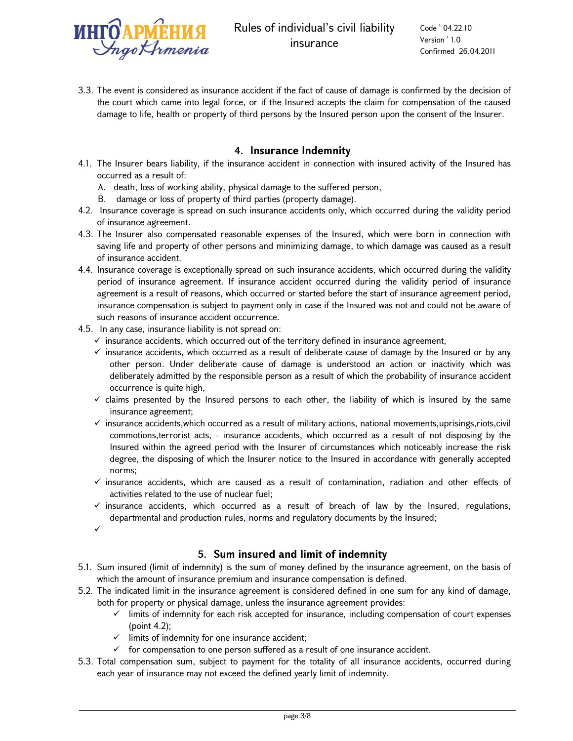

Code ՝ 04.22.10 Version ՝ 1.0 Confirmed 26.04.2011

3.3. The event is considered as insurance accident if the fact of cause of damage is confirmed by the decision of the court which came into legal force, or if the Insured accepts the claim for compensation of the caused damage to life, health or property of third persons by the Insured person upon the consent of the Insurer.

#### **4. Insurance Indemnity**

- 4.1. The Insurer bears liability, if the insurance accident in connection with insured activity of the Insured has occurred as a result of:
	- A. death, loss of working ability, physical damage to the suffered person,
	- B. damage or loss of property of third parties (property damage).
- 4.2. Insurance coverage is spread on such insurance accidents only, which occurred during the validity period of insurance agreement.
- 4.3. The Insurer also compensated reasonable expenses of the Insured, which were born in connection with saving life and property of other persons and minimizing damage, to which damage was caused as a result of insurance accident.
- 4.4. Insurance coverage is exceptionally spread on such insurance accidents, which occurred during the validity period of insurance agreement. If insurance accident occurred during the validity period of insurance agreement is a result of reasons, which occurred or started before the start of insurance agreement period, insurance compensation is subject to payment only in case if the Insured was not and could not be aware of such reasons of insurance accident occurrence.
- 4.5. In any case, insurance liability is not spread on:
	- $\checkmark$  insurance accidents, which occurred out of the territory defined in insurance agreement,
	- $\checkmark$  insurance accidents, which occurred as a result of deliberate cause of damage by the Insured or by any other person. Under deliberate cause of damage is understood an action or inactivity which was deliberately admitted by the responsible person as a result of which the probability of insurance accident occurrence is quite high,
	- $\checkmark$  claims presented by the Insured persons to each other, the liability of which is insured by the same insurance agreement;
	- $\checkmark$  insurance accidents,which occurred as a result of military actions, national movements,uprisings,riots,civil commotions,terrorist acts, - insurance accidents, which occurred as a result of not disposing by the Insured within the agreed period with the Insurer of circumstances which noticeably increase the risk degree, the disposing of which the Insurer notice to the Insured in accordance with generally accepted norms;
	- $\checkmark$  insurance accidents, which are caused as a result of contamination, radiation and other effects of activities related to the use of nuclear fuel;
	- $\checkmark$  insurance accidents, which occurred as a result of breach of law by the Insured, regulations, departmental and production rules, norms and regulatory documents by the Insured;

 $\checkmark$ 

# **5. Sum insured and limit of indemnity**

- 5.1. Sum insured (limit of indemnity) is the sum of money defined by the insurance agreement, on the basis of which the amount of insurance premium and insurance compensation is defined.
- 5.2. The indicated limit in the insurance agreement is considered defined in one sum for any kind of damage, both for property or physical damage, unless the insurance agreement provides:
	- $\checkmark$  limits of indemnity for each risk accepted for insurance, including compensation of court expenses (point 4.2);
	- $\checkmark$  limits of indemnity for one insurance accident;
	- $\checkmark$  for compensation to one person suffered as a result of one insurance accident.
- 5.3. Total compensation sum, subject to payment for the totality of all insurance accidents, occurred during each year of insurance may not exceed the defined yearly limit of indemnity.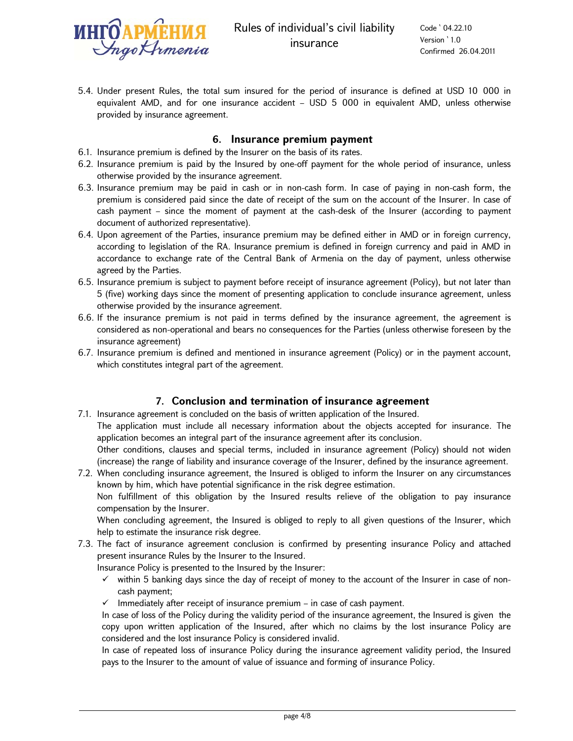

5.4. Under present Rules, the total sum insured for the period of insurance is defined at USD 10 000 in equivalent AMD, and for one insurance accident – USD 5 000 in equivalent AMD, unless otherwise provided by insurance agreement.

#### **6. Insurance premium payment**

- 6.1. Insurance premium is defined by the Insurer on the basis of its rates.
- 6.2. Insurance premium is paid by the Insured by one-off payment for the whole period of insurance, unless otherwise provided by the insurance agreement.
- 6.3. Insurance premium may be paid in cash or in non-cash form. In case of paying in non-cash form, the premium is considered paid since the date of receipt of the sum on the account of the Insurer. In case of cash payment – since the moment of payment at the cash-desk of the Insurer (according to payment document of authorized representative).
- 6.4. Upon agreement of the Parties, insurance premium may be defined either in AMD or in foreign currency, according to legislation of the RA. Insurance premium is defined in foreign currency and paid in AMD in accordance to exchange rate of the Central Bank of Armenia on the day of payment, unless otherwise agreed by the Parties.
- 6.5. Insurance premium is subject to payment before receipt of insurance agreement (Policy), but not later than 5 (five) working days since the moment of presenting application to conclude insurance agreement, unless otherwise provided by the insurance agreement.
- 6.6. If the insurance premium is not paid in terms defined by the insurance agreement, the agreement is considered as non-operational and bears no consequences for the Parties (unless otherwise foreseen by the insurance agreement)
- 6.7. Insurance premium is defined and mentioned in insurance agreement (Policy) or in the payment account, which constitutes integral part of the agreement.

# **7. Conclusion and termination of insurance agreement**

- 7.1. Insurance agreement is concluded on the basis of written application of the Insured. The application must include all necessary information about the objects accepted for insurance. The application becomes an integral part of the insurance agreement after its conclusion. Other conditions, clauses and special terms, included in insurance agreement (Policy) should not widen (increase) the range of liability and insurance coverage of the Insurer, defined by the insurance agreement.
- 7.2. When concluding insurance agreement, the Insured is obliged to inform the Insurer on any circumstances known by him, which have potential significance in the risk degree estimation. Non fulfillment of this obligation by the Insured results relieve of the obligation to pay insurance compensation by the Insurer.

When concluding agreement, the Insured is obliged to reply to all given questions of the Insurer, which help to estimate the insurance risk degree.

7.3. The fact of insurance agreement conclusion is confirmed by presenting insurance Policy and attached present insurance Rules by the Insurer to the Insured.

Insurance Policy is presented to the Insured by the Insurer:

- $\checkmark$  within 5 banking days since the day of receipt of money to the account of the Insurer in case of noncash payment;
- $\checkmark$  Immediately after receipt of insurance premium in case of cash payment.

In case of loss of the Policy during the validity period of the insurance agreement, the Insured is given the copy upon written application of the Insured, after which no claims by the lost insurance Policy are considered and the lost insurance Policy is considered invalid.

In case of repeated loss of insurance Policy during the insurance agreement validity period, the Insured pays to the Insurer to the amount of value of issuance and forming of insurance Policy.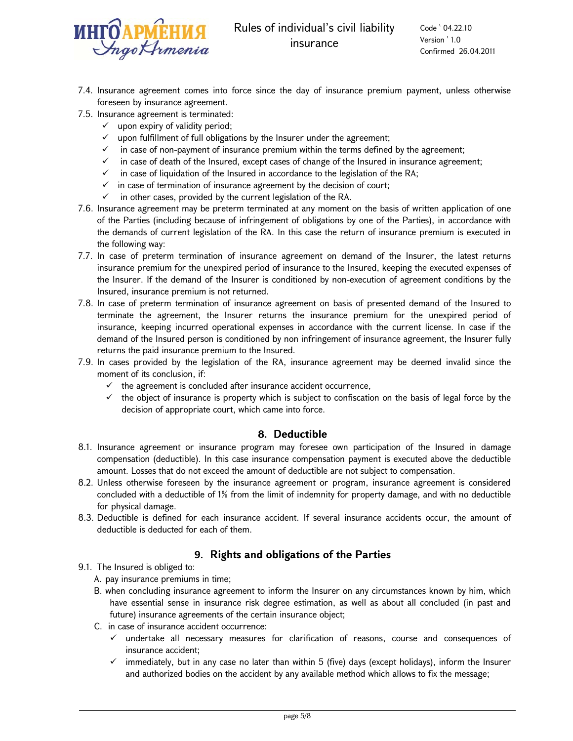

Code ՝ 04.22.10 Version ՝ 1.0 Confirmed 26.04.2011

- 7.4. Insurance agreement comes into force since the day of insurance premium payment, unless otherwise foreseen by insurance agreement.
- 7.5. Insurance agreement is terminated:
	- $\checkmark$  upon expiry of validity period;
	- $\checkmark$  upon fulfillment of full obligations by the Insurer under the agreement;
	- $\checkmark$  in case of non-payment of insurance premium within the terms defined by the agreement;
	- $\checkmark$  in case of death of the Insured, except cases of change of the Insured in insurance agreement;
	- $\checkmark$  in case of liquidation of the Insured in accordance to the legislation of the RA;
	- $\checkmark$  in case of termination of insurance agreement by the decision of court;
	- $\checkmark$  in other cases, provided by the current legislation of the RA.
- 7.6. Insurance agreement may be preterm terminated at any moment on the basis of written application of one of the Parties (including because of infringement of obligations by one of the Parties), in accordance with the demands of current legislation of the RA. In this case the return of insurance premium is executed in the following way:
- 7.7. In case of preterm termination of insurance agreement on demand of the Insurer, the latest returns insurance premium for the unexpired period of insurance to the Insured, keeping the executed expenses of the Insurer. If the demand of the Insurer is conditioned by non-execution of agreement conditions by the Insured, insurance premium is not returned.
- 7.8. In case of preterm termination of insurance agreement on basis of presented demand of the Insured to terminate the agreement, the Insurer returns the insurance premium for the unexpired period of insurance, keeping incurred operational expenses in accordance with the current license. In case if the demand of the Insured person is conditioned by non infringement of insurance agreement, the Insurer fully returns the paid insurance premium to the Insured.
- 7.9. In cases provided by the legislation of the RA, insurance agreement may be deemed invalid since the moment of its conclusion, if:
	- $\checkmark$  the agreement is concluded after insurance accident occurrence,
	- $\checkmark$  the object of insurance is property which is subject to confiscation on the basis of legal force by the decision of appropriate court, which came into force.

#### **8. Deductible**

- 8.1. Insurance agreement or insurance program may foresee own participation of the Insured in damage compensation (deductible). In this case insurance compensation payment is executed above the deductible amount. Losses that do not exceed the amount of deductible are not subject to compensation.
- 8.2. Unless otherwise foreseen by the insurance agreement or program, insurance agreement is considered concluded with a deductible of 1% from the limit of indemnity for property damage, and with no deductible for physical damage.
- 8.3. Deductible is defined for each insurance accident. If several insurance accidents occur, the amount of deductible is deducted for each of them.

# **9. Rights and obligations of the Parties**

- 9.1. The Insured is obliged to:
	- A. pay insurance premiums in time;
	- B. when concluding insurance agreement to inform the Insurer on any circumstances known by him, which have essential sense in insurance risk degree estimation, as well as about all concluded (in past and future) insurance agreements of the certain insurance object;
	- C. in case of insurance accident occurrence:
		- $\checkmark$  undertake all necessary measures for clarification of reasons, course and consequences of insurance accident;
		- $\checkmark$  immediately, but in any case no later than within 5 (five) days (except holidays), inform the Insurer and authorized bodies on the accident by any available method which allows to fix the message;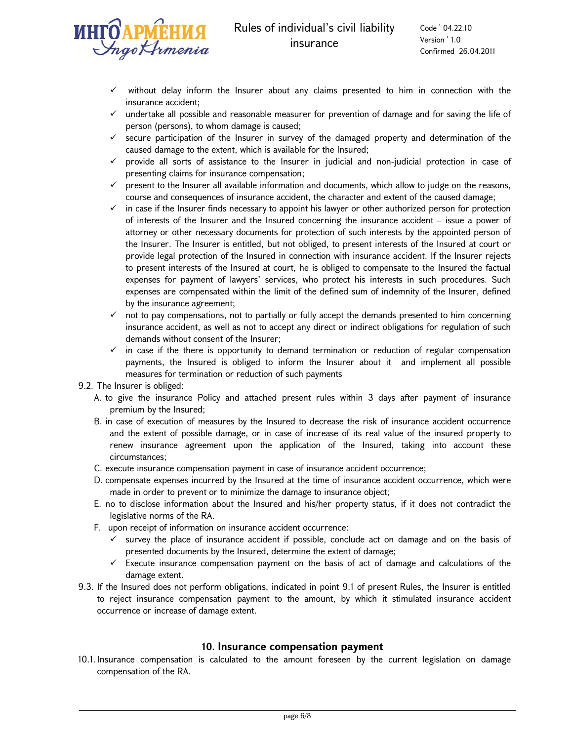

- without delay inform the Insurer about any claims presented to him in connection with the insurance accident;
- $\checkmark$  undertake all possible and reasonable measurer for prevention of damage and for saving the life of person (persons), to whom damage is caused;
- $\checkmark$  secure participation of the Insurer in survey of the damaged property and determination of the caused damage to the extent, which is available for the Insured;
- $\checkmark$  provide all sorts of assistance to the Insurer in judicial and non-judicial protection in case of presenting claims for insurance compensation;
- $\checkmark$  present to the Insurer all available information and documents, which allow to judge on the reasons, course and consequences of insurance accident, the character and extent of the caused damage;
- $\checkmark$  in case if the Insurer finds necessary to appoint his lawyer or other authorized person for protection of interests of the Insurer and the Insured concerning the insurance accident – issue a power of attorney or other necessary documents for protection of such interests by the appointed person of the Insurer. The Insurer is entitled, but not obliged, to present interests of the Insured at court or provide legal protection of the Insured in connection with insurance accident. If the Insurer rejects to present interests of the Insured at court, he is obliged to compensate to the Insured the factual expenses for payment of lawyers' services, who protect his interests in such procedures. Such expenses are compensated within the limit of the defined sum of indemnity of the Insurer, defined by the insurance agreement;
- $\checkmark$  not to pay compensations, not to partially or fully accept the demands presented to him concerning insurance accident, as well as not to accept any direct or indirect obligations for regulation of such demands without consent of the Insurer;
- $\checkmark$  in case if the there is opportunity to demand termination or reduction of regular compensation payments, the Insured is obliged to inform the Insurer about it and implement all possible measures for termination or reduction of such payments

9.2. The Insurer is obliged:

- A. to give the insurance Policy and attached present rules within 3 days after payment of insurance premium by the Insured;
- B. in case of execution of measures by the Insured to decrease the risk of insurance accident occurrence and the extent of possible damage, or in case of increase of its real value of the insured property to renew insurance agreement upon the application of the Insured, taking into account these circumstances;
- C. execute insurance compensation payment in case of insurance accident occurrence;
- D. compensate expenses incurred by the Insured at the time of insurance accident occurrence, which were made in order to prevent or to minimize the damage to insurance object;
- E. no to disclose information about the Insured and his/her property status, if it does not contradict the legislative norms of the RA.
- F. upon receipt of information on insurance accident occurrence:
	- $\checkmark$  survey the place of insurance accident if possible, conclude act on damage and on the basis of presented documents by the Insured, determine the extent of damage;
	- $\checkmark$  Execute insurance compensation payment on the basis of act of damage and calculations of the damage extent.
- 9.3. If the Insured does not perform obligations, indicated in point 9.1 of present Rules, the Insurer is entitled to reject insurance compensation payment to the amount, by which it stimulated insurance accident occurrence or increase of damage extent.

#### **10. Insurance compensation payment**

10.1.Insurance compensation is calculated to the amount foreseen by the current legislation on damage compensation of the RA.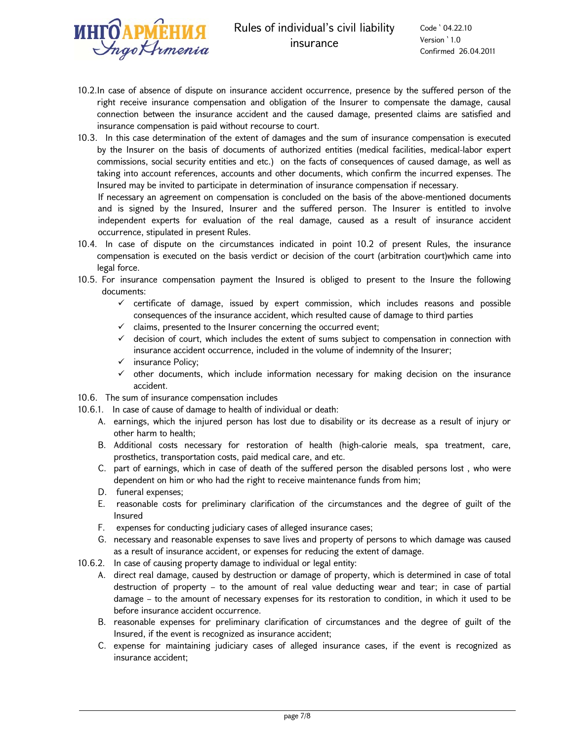

Code ՝ 04.22.10 Version ՝ 1.0 Confirmed 26.04.2011

- 10.2.In case of absence of dispute on insurance accident occurrence, presence by the suffered person of the right receive insurance compensation and obligation of the Insurer to compensate the damage, causal connection between the insurance accident and the caused damage, presented claims are satisfied and insurance compensation is paid without recourse to court.
- 10.3. In this case determination of the extent of damages and the sum of insurance compensation is executed by the Insurer on the basis of documents of authorized entities (medical facilities, medical-labor expert commissions, social security entities and etc.) on the facts of consequences of caused damage, as well as taking into account references, accounts and other documents, which confirm the incurred expenses. The Insured may be invited to participate in determination of insurance compensation if necessary.

If necessary an agreement on compensation is concluded on the basis of the above-mentioned documents and is signed by the Insured, Insurer and the suffered person. The Insurer is entitled to involve independent experts for evaluation of the real damage, caused as a result of insurance accident occurrence, stipulated in present Rules.

- 10.4. In case of dispute on the circumstances indicated in point 10.2 of present Rules, the insurance compensation is executed on the basis verdict or decision of the court (arbitration court)which came into legal force.
- 10.5. For insurance compensation payment the Insured is obliged to present to the Insure the following documents:
	- $\checkmark$  certificate of damage, issued by expert commission, which includes reasons and possible consequences of the insurance accident, which resulted cause of damage to third parties
	- $\checkmark$  claims, presented to the Insurer concerning the occurred event;
	- $\checkmark$  decision of court, which includes the extent of sums subject to compensation in connection with insurance accident occurrence, included in the volume of indemnity of the Insurer;
	- $\checkmark$  insurance Policy;
	- $\checkmark$  other documents, which include information necessary for making decision on the insurance accident.
- 10.6. The sum of insurance compensation includes
- 10.6.1. In case of cause of damage to health of individual or death:
	- A. earnings, which the injured person has lost due to disability or its decrease as a result of injury or other harm to health;
	- B. Additional costs necessary for restoration of health (high-calorie meals, spa treatment, care, prosthetics, transportation costs, paid medical care, and etc.
	- C. part of earnings, which in case of death of the suffered person the disabled persons lost , who were dependent on him or who had the right to receive maintenance funds from him;
	- D. funeral expenses;
	- E. reasonable costs for preliminary clarification of the circumstances and the degree of guilt of the Insured
	- F. expenses for conducting judiciary cases of alleged insurance cases;
	- G. necessary and reasonable expenses to save lives and property of persons to which damage was caused as a result of insurance accident, or expenses for reducing the extent of damage.
- 10.6.2. In case of causing property damage to individual or legal entity:
	- A. direct real damage, caused by destruction or damage of property, which is determined in case of total destruction of property – to the amount of real value deducting wear and tear; in case of partial damage – to the amount of necessary expenses for its restoration to condition, in which it used to be before insurance accident occurrence.
	- B. reasonable expenses for preliminary clarification of circumstances and the degree of guilt of the Insured, if the event is recognized as insurance accident;
	- C. expense for maintaining judiciary cases of alleged insurance cases, if the event is recognized as insurance accident;